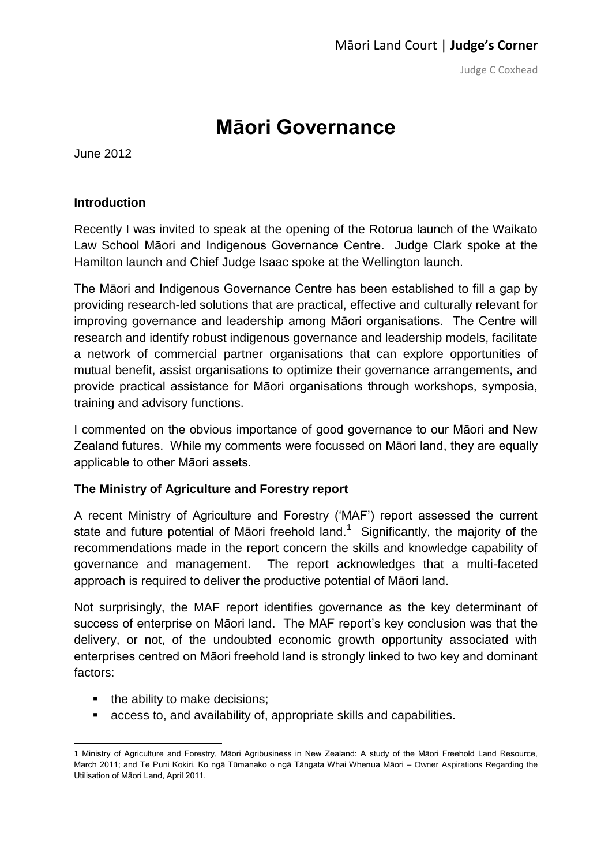# **Māori Governance**

June 2012

## **Introduction**

Recently I was invited to speak at the opening of the Rotorua launch of the Waikato Law School [Māori and Indigenous Governance Centre.](http://www.waikato.ac.nz/law/research/centre-for-maori-and-indigenous-governance) Judge Clark spoke at the Hamilton launch and Chief Judge Isaac spoke at the Wellington launch.

The Māori and Indigenous Governance Centre has been established to fill a gap by providing research-led solutions that are practical, effective and culturally relevant for improving governance and leadership among Māori organisations. The Centre will research and identify robust indigenous governance and leadership models, facilitate a network of commercial partner organisations that can explore opportunities of mutual benefit, assist organisations to optimize their governance arrangements, and provide practical assistance for Māori organisations through workshops, symposia, training and advisory functions.

I commented on the obvious importance of good governance to our Māori and New Zealand futures. While my comments were focussed on Māori land, they are equally applicable to other Māori assets.

### **The Ministry of Agriculture and Forestry report**

A recent Ministry of Agriculture and Forestry ('MAF') report assessed the current state and future potential of Māori freehold land.<sup>1</sup> Significantly, the majority of the recommendations made in the report concern the skills and knowledge capability of governance and management. The report acknowledges that a multi-faceted approach is required to deliver the productive potential of Māori land.

Not surprisingly, the MAF report identifies governance as the key determinant of success of enterprise on Māori land. The MAF report's key conclusion was that the delivery, or not, of the undoubted economic growth opportunity associated with enterprises centred on Māori freehold land is strongly linked to two key and dominant factors:

- the ability to make decisions;
- access to, and availability of, appropriate skills and capabilities.

**<sup>.</sup>** 1 Ministry of Agriculture and Forestry, Māori Agribusiness in New Zealand: A study of the Māori Freehold Land Resource, March 2011; and Te Puni Kokiri, Ko ngā Tūmanako o ngā Tāngata Whai Whenua Māori – Owner Aspirations Regarding the Utilisation of Māori Land, April 2011.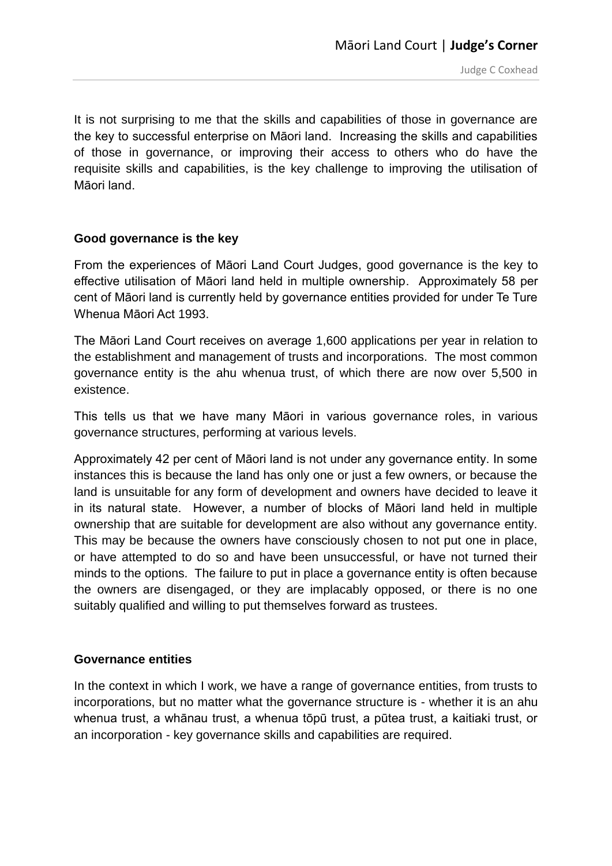It is not surprising to me that the skills and capabilities of those in governance are the key to successful enterprise on Māori land. Increasing the skills and capabilities of those in governance, or improving their access to others who do have the requisite skills and capabilities, is the key challenge to improving the utilisation of Māori land.

### **Good governance is the key**

From the experiences of Māori Land Court Judges, good governance is the key to effective utilisation of Māori land held in multiple ownership. Approximately 58 per cent of Māori land is currently held by governance entities provided for under Te Ture Whenua Māori Act 1993.

The Māori Land Court receives on average 1,600 applications per year in relation to the establishment and management of trusts and incorporations. The most common governance entity is the ahu whenua trust, of which there are now over 5,500 in existence.

This tells us that we have many Māori in various governance roles, in various governance structures, performing at various levels.

Approximately 42 per cent of Māori land is not under any governance entity. In some instances this is because the land has only one or just a few owners, or because the land is unsuitable for any form of development and owners have decided to leave it in its natural state. However, a number of blocks of Māori land held in multiple ownership that are suitable for development are also without any governance entity. This may be because the owners have consciously chosen to not put one in place, or have attempted to do so and have been unsuccessful, or have not turned their minds to the options. The failure to put in place a governance entity is often because the owners are disengaged, or they are implacably opposed, or there is no one suitably qualified and willing to put themselves forward as trustees.

### **Governance entities**

In the context in which I work, we have a range of governance entities, from trusts to incorporations, but no matter what the governance structure is - whether it is an ahu whenua trust, a whānau trust, a whenua tōpū trust, a pūtea trust, a kaitiaki trust, or an incorporation - key governance skills and capabilities are required.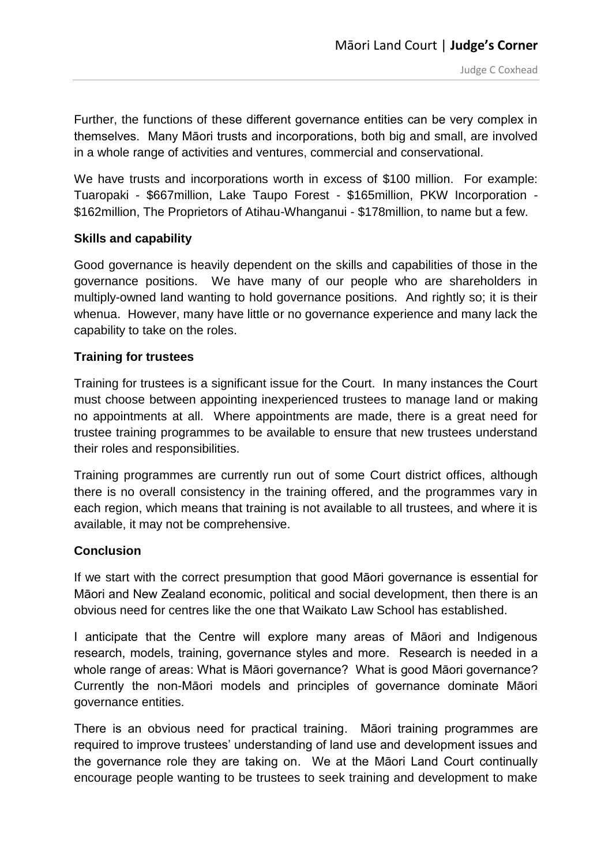Further, the functions of these different governance entities can be very complex in themselves. Many Māori trusts and incorporations, both big and small, are involved in a whole range of activities and ventures, commercial and conservational.

We have trusts and incorporations worth in excess of \$100 million. For example: Tuaropaki - \$667million, Lake Taupo Forest - \$165million, PKW Incorporation - \$162million, The Proprietors of Atihau-Whanganui - \$178million, to name but a few.

### **Skills and capability**

Good governance is heavily dependent on the skills and capabilities of those in the governance positions. We have many of our people who are shareholders in multiply-owned land wanting to hold governance positions. And rightly so; it is their whenua. However, many have little or no governance experience and many lack the capability to take on the roles.

### **Training for trustees**

Training for trustees is a significant issue for the Court. In many instances the Court must choose between appointing inexperienced trustees to manage land or making no appointments at all. Where appointments are made, there is a great need for trustee training programmes to be available to ensure that new trustees understand their roles and responsibilities.

Training programmes are currently run out of some Court district offices, although there is no overall consistency in the training offered, and the programmes vary in each region, which means that training is not available to all trustees, and where it is available, it may not be comprehensive.

### **Conclusion**

If we start with the correct presumption that good Māori governance is essential for Māori and New Zealand economic, political and social development, then there is an obvious need for centres like the one that Waikato Law School has established.

I anticipate that the Centre will explore many areas of Māori and Indigenous research, models, training, governance styles and more. Research is needed in a whole range of areas: What is Māori governance? What is good Māori governance? Currently the non-Māori models and principles of governance dominate Māori governance entities.

There is an obvious need for practical training. Māori training programmes are required to improve trustees' understanding of land use and development issues and the governance role they are taking on. We at the Māori Land Court continually encourage people wanting to be trustees to seek training and development to make